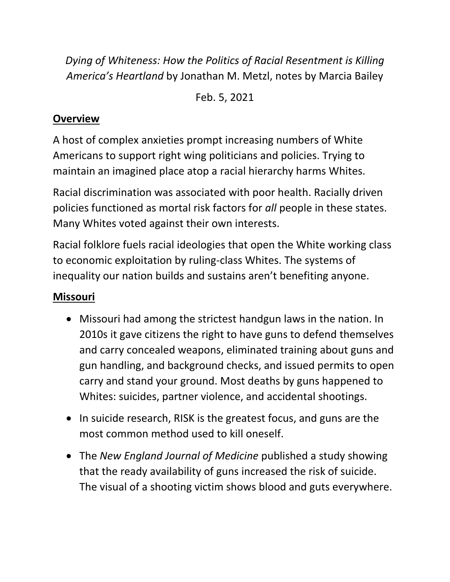*Dying of Whiteness: How the Politics of Racial Resentment is Killing America's Heartland* by Jonathan M. Metzl, notes by Marcia Bailey

Feb. 5, 2021

## **Overview**

A host of complex anxieties prompt increasing numbers of White Americans to support right wing politicians and policies. Trying to maintain an imagined place atop a racial hierarchy harms Whites.

Racial discrimination was associated with poor health. Racially driven policies functioned as mortal risk factors for *all* people in these states. Many Whites voted against their own interests.

Racial folklore fuels racial ideologies that open the White working class to economic exploitation by ruling-class Whites. The systems of inequality our nation builds and sustains aren't benefiting anyone.

# **Missouri**

- Missouri had among the strictest handgun laws in the nation. In 2010s it gave citizens the right to have guns to defend themselves and carry concealed weapons, eliminated training about guns and gun handling, and background checks, and issued permits to open carry and stand your ground. Most deaths by guns happened to Whites: suicides, partner violence, and accidental shootings.
- In suicide research, RISK is the greatest focus, and guns are the most common method used to kill oneself.
- The *New England Journal of Medicine* published a study showing that the ready availability of guns increased the risk of suicide. The visual of a shooting victim shows blood and guts everywhere.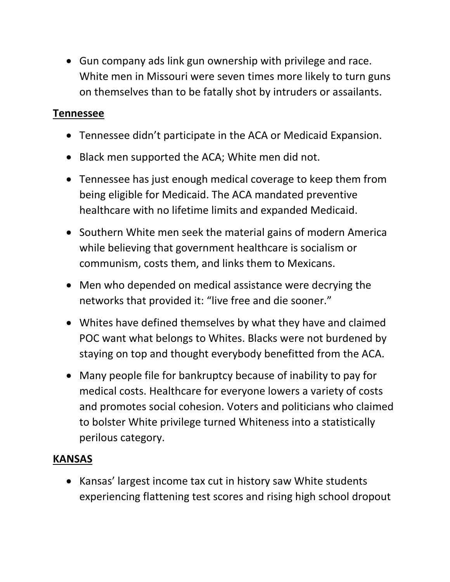• Gun company ads link gun ownership with privilege and race. White men in Missouri were seven times more likely to turn guns on themselves than to be fatally shot by intruders or assailants.

#### **Tennessee**

- Tennessee didn't participate in the ACA or Medicaid Expansion.
- Black men supported the ACA; White men did not.
- Tennessee has just enough medical coverage to keep them from being eligible for Medicaid. The ACA mandated preventive healthcare with no lifetime limits and expanded Medicaid.
- Southern White men seek the material gains of modern America while believing that government healthcare is socialism or communism, costs them, and links them to Mexicans.
- Men who depended on medical assistance were decrying the networks that provided it: "live free and die sooner."
- Whites have defined themselves by what they have and claimed POC want what belongs to Whites. Blacks were not burdened by staying on top and thought everybody benefitted from the ACA.
- Many people file for bankruptcy because of inability to pay for medical costs. Healthcare for everyone lowers a variety of costs and promotes social cohesion. Voters and politicians who claimed to bolster White privilege turned Whiteness into a statistically perilous category.

## **KANSAS**

• Kansas' largest income tax cut in history saw White students experiencing flattening test scores and rising high school dropout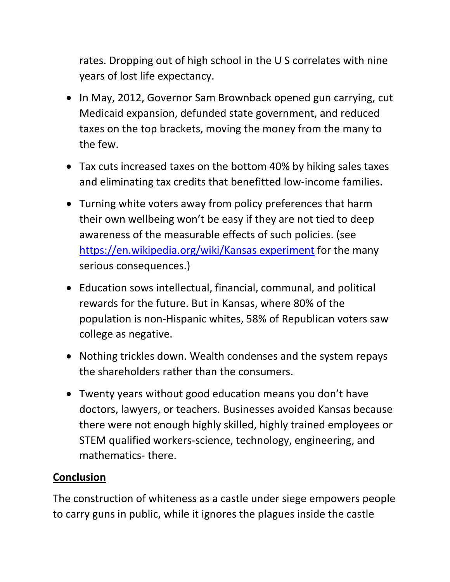rates. Dropping out of high school in the U S correlates with nine years of lost life expectancy.

- In May, 2012, Governor Sam Brownback opened gun carrying, cut Medicaid expansion, defunded state government, and reduced taxes on the top brackets, moving the money from the many to the few.
- Tax cuts increased taxes on the bottom 40% by hiking sales taxes and eliminating tax credits that benefitted low-income families.
- Turning white voters away from policy preferences that harm their own wellbeing won't be easy if they are not tied to deep awareness of the measurable effects of such policies. (see [https://en.wikipedia.org/wiki/Kansas experiment](https://en.wikipedia.org/wiki/Kansas%20experiment) for the many serious consequences.)
- Education sows intellectual, financial, communal, and political rewards for the future. But in Kansas, where 80% of the population is non-Hispanic whites, 58% of Republican voters saw college as negative.
- Nothing trickles down. Wealth condenses and the system repays the shareholders rather than the consumers.
- Twenty years without good education means you don't have doctors, lawyers, or teachers. Businesses avoided Kansas because there were not enough highly skilled, highly trained employees or STEM qualified workers-science, technology, engineering, and mathematics- there.

## **Conclusion**

The construction of whiteness as a castle under siege empowers people to carry guns in public, while it ignores the plagues inside the castle